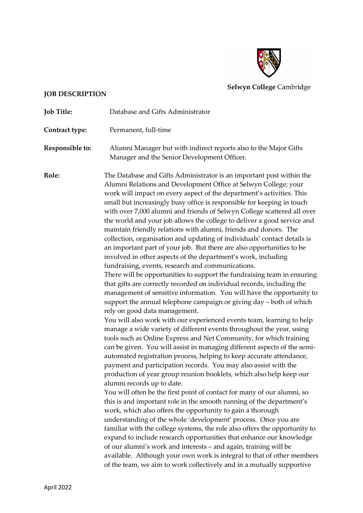

**Selwyn College Cambridge** 

## **JOB DESCRIPTION**

**Job Title:** Database and Gifts Administrator **Contract type:** Permanent, full-time **Responsible to:** Alumni Manager but with indirect reports also to the Major Gifts Manager and the Senior Development Officer. **Role:** The Database and Gifts Administrator is an important post within the Alumni Relations and Development Office at Selwyn College; your work will impact on every aspect of the department's activities. This small but increasingly busy office is responsible for keeping in touch with over 7,000 alumni and friends of Selwyn College scattered all over the world and your job allows the college to deliver a good service and maintain friendly relations with alumni, friends and donors. The collection, organisation and updating of individuals' contact details is an important part of your job. But there are also opportunities to be involved in other aspects of the department's work, including fundraising, events, research and communications. There will be opportunities to support the fundraising team in ensuring that gifts are correctly recorded on individual records, including the management of sensitive information. You will have the opportunity to support the annual telephone campaign or giving day – both of which rely on good data management. You will also work with our experienced events team, learning to help manage a wide variety of different events throughout the year, using

tools such as Online Express and Net Community, for which training can be given. You will assist in managing different aspects of the semiautomated registration process, helping to keep accurate attendance, payment and participation records. You may also assist with the production of year group reunion booklets, which also help keep our alumni records up to date.

You will often be the first point of contact for many of our alumni, so this is and important role in the smooth running of the department's work, which also offers the opportunity to gain a thorough understanding of the whole 'development' process. Once you are familiar with the college systems, the role also offers the opportunity to expand to include research opportunities that enhance our knowledge of our alumni's work and interests – and again, training will be available. Although your own work is integral to that of other members of the team, we aim to work collectively and in a mutually supportive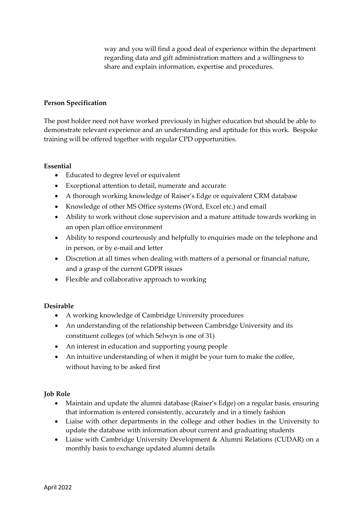way and you will find a good deal of experience within the department regarding data and gift administration matters and a willingness to share and explain information, expertise and procedures.

## **Person Specification**

The post holder need not have worked previously in higher education but should be able to demonstrate relevant experience and an understanding and aptitude for this work. Bespoke training will be offered together with regular CPD opportunities.

## **Essential**

- Educated to degree level or equivalent
- Exceptional attention to detail, numerate and accurate
- A thorough working knowledge of Raiser's Edge or equivalent CRM database
- Knowledge of other MS Office systems (Word, Excel etc.) and email
- Ability to work without close supervision and a mature attitude towards working in an open plan office environment
- Ability to respond courteously and helpfully to enquiries made on the telephone and in person, or by e-mail and letter
- Discretion at all times when dealing with matters of a personal or financial nature, and a grasp of the current GDPR issues
- Flexible and collaborative approach to working

# **Desirable**

- A working knowledge of Cambridge University procedures
- An understanding of the relationship between Cambridge University and its constituent colleges (of which Selwyn is one of 31)
- An interest in education and supporting young people
- An intuitive understanding of when it might be your turn to make the coffee, without having to be asked first

# **Job Role**

- Maintain and update the alumni database (Raiser's Edge) on a regular basis, ensuring that information is entered consistently, accurately and in a timely fashion
- Liaise with other departments in the college and other bodies in the University to update the database with information about current and graduating students
- Liaise with Cambridge University Development & Alumni Relations (CUDAR) on a monthly basis to exchange updated alumni details